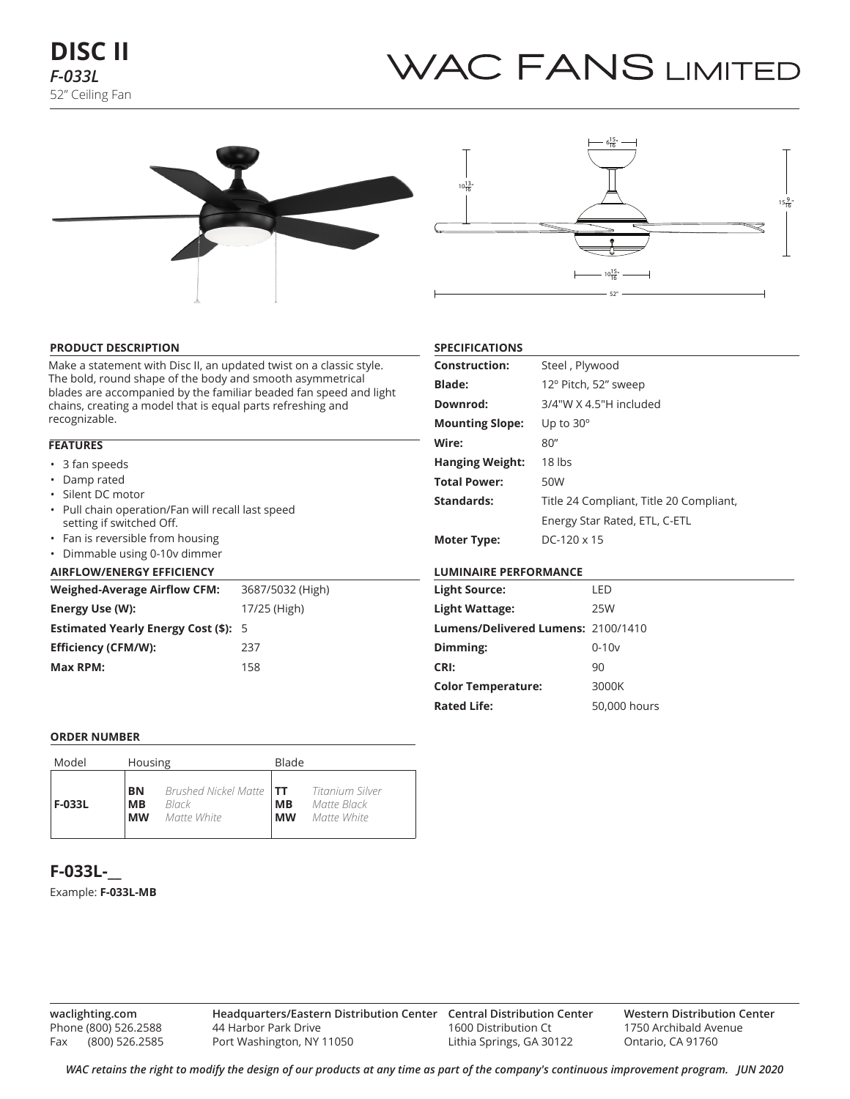# WAC FANS LIMITED





#### **PRODUCT DESCRIPTION**

Make a statement with Disc II, an updated twist on a classic style. The bold, round shape of the body and smooth asymmetrical blades are accompanied by the familiar beaded fan speed and light chains, creating a model that is equal parts refreshing and recognizable.

# **FEATURES**

- 3 fan speeds
- Damp rated
- Silent DC motor
- Pull chain operation/Fan will recall last speed setting if switched Off.
- Fan is reversible from housing
- Dimmable using 0-10v dimmer

## **AIRFLOW/ENERGY EFFICIENCY**

| <b>Weighed-Average Airflow CFM:</b>         | 3687/5032 (High) |  |  |  |  |  |
|---------------------------------------------|------------------|--|--|--|--|--|
| Energy Use (W):                             | 17/25 (High)     |  |  |  |  |  |
| <b>Estimated Yearly Energy Cost (\$): 5</b> |                  |  |  |  |  |  |
| Efficiency (CFM/W):                         | 237              |  |  |  |  |  |
| Max RPM:                                    | 158              |  |  |  |  |  |

# **SPECIFICATIONS**

| <b>Construction:</b>   | Steel, Plywood                          |
|------------------------|-----------------------------------------|
| <b>Blade:</b>          | 12° Pitch, 52" sweep                    |
| Downrod:               | 3/4"W X 4.5"H included                  |
| <b>Mounting Slope:</b> | Up to $30^\circ$                        |
| Wire:                  | 80''                                    |
| <b>Hanging Weight:</b> | 18 lbs                                  |
| <b>Total Power:</b>    | 50W                                     |
| Standards:             | Title 24 Compliant, Title 20 Compliant, |
|                        | Energy Star Rated, ETL, C-ETL           |
| <b>Moter Type:</b>     | $DC-120 \times 15$                      |

# **LUMINAIRE PERFORMANCE**

| <b>Light Source:</b>               | LED          |
|------------------------------------|--------------|
| Light Wattage:                     | 25W          |
| Lumens/Delivered Lumens: 2100/1410 |              |
| Dimming:                           | $0 - 10v$    |
| CRI:                               | 90           |
| <b>Color Temperature:</b>          | 3000K        |
| <b>Rated Life:</b>                 | 50,000 hours |
|                                    |              |

#### **ORDER NUMBER**

| Model  | Housing                             |                                                                        | Blade                  |                            |  |  |
|--------|-------------------------------------|------------------------------------------------------------------------|------------------------|----------------------------|--|--|
| F-033L | <b>BN</b><br><b>MB</b><br><b>MW</b> | Brushed Nickel Matte <b>TT</b> Titanium Silver<br>Black<br>Matte White | <b>MB</b><br><b>MW</b> | Matte Black<br>Matte White |  |  |

# **F-033L-\_\_**

Example: **F-033L-MB**

**waclighting.com** Phone (800) 526.2588 Fax (800) 526.2585

**Headquarters/Eastern Distribution Center Central Distribution Center** 44 Harbor Park Drive Port Washington, NY 11050

1600 Distribution Ct Lithia Springs, GA 30122 **Western Distribution Center**  1750 Archibald Avenue Ontario, CA 91760

*WAC retains the right to modify the design of our products at any time as part of the company's continuous improvement program. Jun 2020*